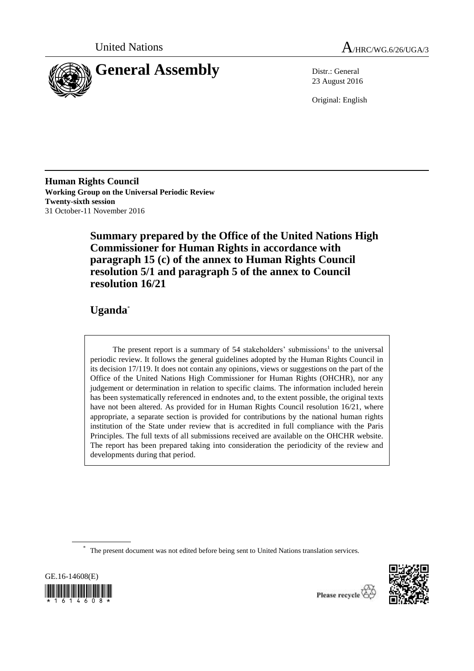



23 August 2016

Original: English

**Human Rights Council Working Group on the Universal Periodic Review Twenty-sixth session** 31 October-11 November 2016

> **Summary prepared by the Office of the United Nations High Commissioner for Human Rights in accordance with paragraph 15 (c) of the annex to Human Rights Council resolution 5/1 and paragraph 5 of the annex to Council resolution 16/21**

# **Uganda**\*

The present report is a summary of  $54$  stakeholders' submissions<sup>1</sup> to the universal periodic review. It follows the general guidelines adopted by the Human Rights Council in its decision 17/119. It does not contain any opinions, views or suggestions on the part of the Office of the United Nations High Commissioner for Human Rights (OHCHR), nor any judgement or determination in relation to specific claims. The information included herein has been systematically referenced in endnotes and, to the extent possible, the original texts have not been altered. As provided for in Human Rights Council resolution 16/21, where appropriate, a separate section is provided for contributions by the national human rights institution of the State under review that is accredited in full compliance with the Paris Principles. The full texts of all submissions received are available on the OHCHR website. The report has been prepared taking into consideration the periodicity of the review and developments during that period.

<sup>\*</sup> The present document was not edited before being sent to United Nations translation services.





Please recycle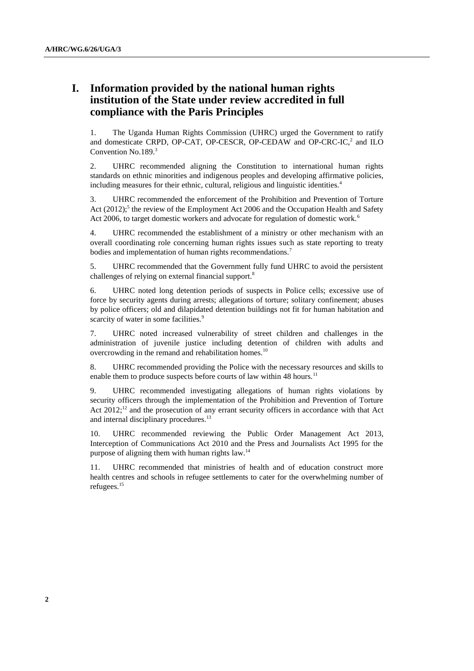# **I. Information provided by the national human rights institution of the State under review accredited in full compliance with the Paris Principles**

1. The Uganda Human Rights Commission (UHRC) urged the Government to ratify and domesticate CRPD, OP-CAT, OP-CESCR, OP-CEDAW and OP-CRC-IC, 2 and ILO Convention No.189.<sup>3</sup>

2. UHRC recommended aligning the Constitution to international human rights standards on ethnic minorities and indigenous peoples and developing affirmative policies, including measures for their ethnic, cultural, religious and linguistic identities.<sup>4</sup>

3. UHRC recommended the enforcement of the Prohibition and Prevention of Torture Act  $(2012)$ <sup>5</sup>; the review of the Employment Act 2006 and the Occupation Health and Safety Act 2006, to target domestic workers and advocate for regulation of domestic work.<sup>6</sup>

4. UHRC recommended the establishment of a ministry or other mechanism with an overall coordinating role concerning human rights issues such as state reporting to treaty bodies and implementation of human rights recommendations.<sup>7</sup>

5. UHRC recommended that the Government fully fund UHRC to avoid the persistent challenges of relying on external financial support.<sup>8</sup>

6. UHRC noted long detention periods of suspects in Police cells; excessive use of force by security agents during arrests; allegations of torture; solitary confinement; abuses by police officers; old and dilapidated detention buildings not fit for human habitation and scarcity of water in some facilities.<sup>9</sup>

7. UHRC noted increased vulnerability of street children and challenges in the administration of juvenile justice including detention of children with adults and overcrowding in the remand and rehabilitation homes.<sup>10</sup>

8. UHRC recommended providing the Police with the necessary resources and skills to enable them to produce suspects before courts of law within 48 hours.<sup>11</sup>

9. UHRC recommended investigating allegations of human rights violations by security officers through the implementation of the Prohibition and Prevention of Torture Act  $2012$ ;<sup>12</sup> and the prosecution of any errant security officers in accordance with that Act and internal disciplinary procedures.<sup>13</sup>

10. UHRC recommended reviewing the Public Order Management Act 2013, Interception of Communications Act 2010 and the Press and Journalists Act 1995 for the purpose of aligning them with human rights law.<sup>14</sup>

11. UHRC recommended that ministries of health and of education construct more health centres and schools in refugee settlements to cater for the overwhelming number of refugees.15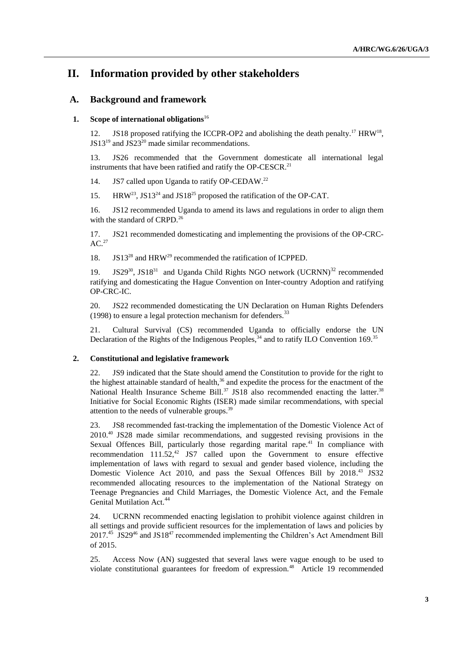# **II. Information provided by other stakeholders**

# **A. Background and framework**

# **1. Scope of international obligations**<sup>16</sup>

12. JS18 proposed ratifying the ICCPR-OP2 and abolishing the death penalty.<sup>17</sup> HRW<sup>18</sup>, JS13<sup>19</sup> and JS23<sup>20</sup> made similar recommendations.

13. JS26 recommended that the Government domesticate all international legal instruments that have been ratified and ratify the OP-CESCR.<sup>21</sup>

14. JS7 called upon Uganda to ratify OP-CEDAW.<sup>22</sup>

15. HRW<sup>23</sup>, JS13<sup>24</sup> and JS18<sup>25</sup> proposed the ratification of the OP-CAT.

16. JS12 recommended Uganda to amend its laws and regulations in order to align them with the standard of CRPD.<sup>26</sup>

17. JS21 recommended domesticating and implementing the provisions of the OP-CRC- $AC.<sup>27</sup>$ 

18. JS13<sup>28</sup> and HRW<sup>29</sup> recommended the ratification of ICPPED.

19. JS29<sup>30</sup>, JS18<sup>31</sup> and Uganda Child Rights NGO network (UCRNN)<sup>32</sup> recommended ratifying and domesticating the Hague Convention on Inter-country Adoption and ratifying OP-CRC-IC.

20. JS22 recommended domesticating the UN Declaration on Human Rights Defenders (1998) to ensure a legal protection mechanism for defenders.<sup>33</sup>

21. Cultural Survival (CS) recommended Uganda to officially endorse the UN Declaration of the Rights of the Indigenous Peoples,  $34$  and to ratify ILO Convention 169.<sup>35</sup>

# **2. Constitutional and legislative framework**

22. JS9 indicated that the State should amend the Constitution to provide for the right to the highest attainable standard of health, $36$  and expedite the process for the enactment of the National Health Insurance Scheme Bill.<sup>37</sup> JS18 also recommended enacting the latter.<sup>38</sup> Initiative for Social Economic Rights (ISER) made similar recommendations, with special attention to the needs of vulnerable groups.<sup>39</sup>

23. JS8 recommended fast-tracking the implementation of the Domestic Violence Act of 2010.<sup>40</sup> JS28 made similar recommendations, and suggested revising provisions in the Sexual Offences Bill, particularly those regarding marital rape.<sup>41</sup> In compliance with recommendation  $111.52^{42}$  JS7 called upon the Government to ensure effective implementation of laws with regard to sexual and gender based violence, including the Domestic Violence Act 2010, and pass the Sexual Offences Bill by 2018.<sup>43</sup> JS32 recommended allocating resources to the implementation of the National Strategy on Teenage Pregnancies and Child Marriages, the Domestic Violence Act, and the Female Genital Mutilation Act.<sup>44</sup>

24. UCRNN recommended enacting legislation to prohibit violence against children in all settings and provide sufficient resources for the implementation of laws and policies by 2017.<sup>45</sup> JS29<sup>46</sup> and JS18<sup>47</sup> recommended implementing the Children's Act Amendment Bill of 2015.

25. Access Now (AN) suggested that several laws were vague enough to be used to violate constitutional guarantees for freedom of expression.<sup>48</sup> Article 19 recommended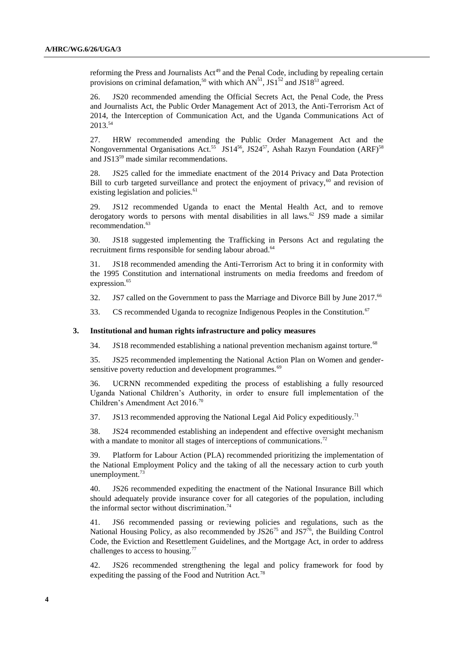reforming the Press and Journalists Act<sup>49</sup> and the Penal Code, including by repealing certain provisions on criminal defamation,<sup>50</sup> with which  $AN<sup>51</sup>$ , JS1<sup>52</sup> and JS18<sup>53</sup> agreed.

26. JS20 recommended amending the Official Secrets Act, the Penal Code, the Press and Journalists Act, the Public Order Management Act of 2013, the Anti-Terrorism Act of 2014, the Interception of Communication Act, and the Uganda Communications Act of 2013.<sup>54</sup>

27. HRW recommended amending the Public Order Management Act and the Nongovernmental Organisations Act.<sup>55</sup> JS14<sup>56</sup>, JS24<sup>57</sup>, Ashah Razyn Foundation (ARF)<sup>58</sup> and JS13<sup>59</sup> made similar recommendations.

28. JS25 called for the immediate enactment of the 2014 Privacy and Data Protection Bill to curb targeted surveillance and protect the enjoyment of privacy, $60$  and revision of existing legislation and policies.<sup>61</sup>

29. JS12 recommended Uganda to enact the Mental Health Act, and to remove derogatory words to persons with mental disabilities in all laws.<sup>62</sup> JS9 made a similar recommendation. 63

30. JS18 suggested implementing the Trafficking in Persons Act and regulating the recruitment firms responsible for sending labour abroad.<sup>64</sup>

31. JS18 recommended amending the Anti-Terrorism Act to bring it in conformity with the 1995 Constitution and international instruments on media freedoms and freedom of expression.<sup>65</sup>

32. JS7 called on the Government to pass the Marriage and Divorce Bill by June  $2017$ .<sup>66</sup>

33. CS recommended Uganda to recognize Indigenous Peoples in the Constitution.<sup>67</sup>

#### **3. Institutional and human rights infrastructure and policy measures**

34. JS18 recommended establishing a national prevention mechanism against torture.<sup>68</sup>

35. JS25 recommended implementing the National Action Plan on Women and gendersensitive poverty reduction and development programmes.<sup>69</sup>

36. UCRNN recommended expediting the process of establishing a fully resourced Uganda National Children's Authority, in order to ensure full implementation of the Children's Amendment Act 2016.<sup>70</sup>

37. JS13 recommended approving the National Legal Aid Policy expeditiously.<sup>71</sup>

38. JS24 recommended establishing an independent and effective oversight mechanism with a mandate to monitor all stages of interceptions of communications.<sup>72</sup>

39. Platform for Labour Action (PLA) recommended prioritizing the implementation of the National Employment Policy and the taking of all the necessary action to curb youth unemployment.<sup>73</sup>

40. JS26 recommended expediting the enactment of the National Insurance Bill which should adequately provide insurance cover for all categories of the population, including the informal sector without discrimination.<sup>74</sup>

41. JS6 recommended passing or reviewing policies and regulations, such as the National Housing Policy, as also recommended by  $JS26^{75}$  and  $JS7^{76}$ , the Building Control Code, the Eviction and Resettlement Guidelines, and the Mortgage Act, in order to address challenges to access to housing.<sup>77</sup>

42. JS26 recommended strengthening the legal and policy framework for food by expediting the passing of the Food and Nutrition Act.<sup>78</sup>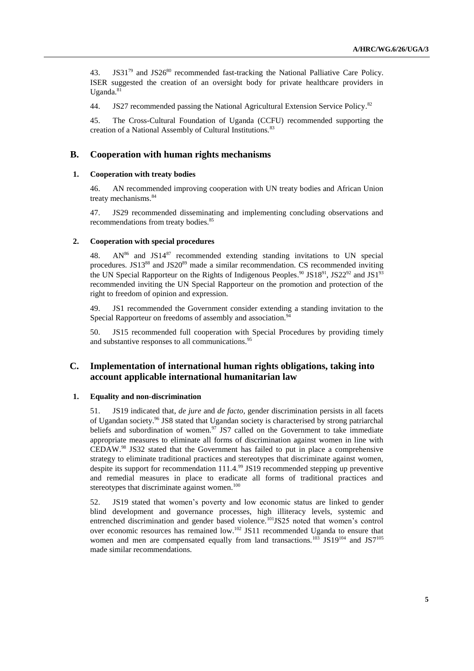43. JS31 $^{79}$  and JS26 $^{80}$  recommended fast-tracking the National Palliative Care Policy. ISER suggested the creation of an oversight body for private healthcare providers in Uganda. $81$ 

44. JS27 recommended passing the National Agricultural Extension Service Policy.<sup>82</sup>

45. The Cross-Cultural Foundation of Uganda (CCFU) recommended supporting the creation of a National Assembly of Cultural Institutions.<sup>83</sup>

# **B. Cooperation with human rights mechanisms**

#### **1. Cooperation with treaty bodies**

46. AN recommended improving cooperation with UN treaty bodies and African Union treaty mechanisms.<sup>84</sup>

47. JS29 recommended disseminating and implementing concluding observations and recommendations from treaty bodies.<sup>85</sup>

#### **2. Cooperation with special procedures**

48.  $AN^{86}$  and  $JS14^{87}$  recommended extending standing invitations to UN special procedures. JS13<sup>88</sup> and JS20<sup>89</sup> made a similar recommendation. CS recommended inviting the UN Special Rapporteur on the Rights of Indigenous Peoples.<sup>90</sup> JS18<sup>91</sup>, JS22<sup>92</sup> and JS1<sup>93</sup> recommended inviting the UN Special Rapporteur on the promotion and protection of the right to freedom of opinion and expression.

49. JS1 recommended the Government consider extending a standing invitation to the Special Rapporteur on freedoms of assembly and association.<sup>94</sup>

50. JS15 recommended full cooperation with Special Procedures by providing timely and substantive responses to all communications.<sup>95</sup>

# **C. Implementation of international human rights obligations, taking into account applicable international humanitarian law**

# **1. Equality and non-discrimination**

51. JS19 indicated that, *de jure* and *de facto,* gender discrimination persists in all facets of Ugandan society.<sup>96</sup> JS8 stated that Ugandan society is characterised by strong patriarchal beliefs and subordination of women.<sup>97</sup> JS7 called on the Government to take immediate appropriate measures to eliminate all forms of discrimination against women in line with CEDAW. <sup>98</sup> JS32 stated that the Government has failed to put in place a comprehensive strategy to eliminate traditional practices and stereotypes that discriminate against women, despite its support for recommendation  $111.4$ .<sup>99</sup> JS19 recommended stepping up preventive and remedial measures in place to eradicate all forms of traditional practices and stereotypes that discriminate against women.<sup>100</sup>

52. JS19 stated that women's poverty and low economic status are linked to gender blind development and governance processes, high illiteracy levels, systemic and entrenched discrimination and gender based violence.<sup>101</sup>JS25 noted that women's control over economic resources has remained  $low$ .<sup>102</sup> JS11 recommended Uganda to ensure that women and men are compensated equally from land transactions.<sup>103</sup> JS19<sup>104</sup> and JS7<sup>105</sup> made similar recommendations.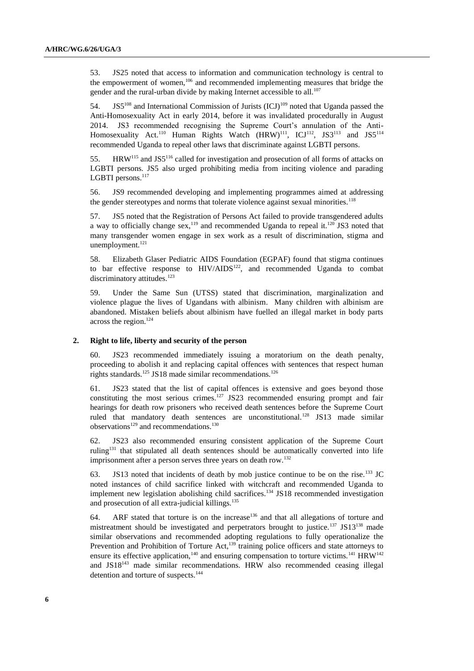53. JS25 noted that access to information and communication technology is central to the empowerment of women,<sup>106</sup> and recommended implementing measures that bridge the gender and the rural-urban divide by making Internet accessible to all. $107$ 

54. JS5<sup>108</sup> and International Commission of Jurists  $(ICJ)$ <sup>109</sup> noted that Uganda passed the Anti-Homosexuality Act in early 2014, before it was invalidated procedurally in August 2014. JS3 recommended recognising the Supreme Court's annulation of the Anti-Homosexuality Act.<sup>110</sup> Human Rights Watch  $(HRW)^{111}$ , ICJ<sup>112</sup>, JS3<sup>113</sup> and JS5<sup>114</sup> recommended Uganda to repeal other laws that discriminate against LGBTI persons.

55. HRW<sup>115</sup> and JS5<sup>116</sup> called for investigation and prosecution of all forms of attacks on LGBTI persons. JS5 also urged prohibiting media from inciting violence and parading LGBTI persons.<sup>117</sup>

56. JS9 recommended developing and implementing programmes aimed at addressing the gender stereotypes and norms that tolerate violence against sexual minorities.<sup>118</sup>

57. JS5 noted that the Registration of Persons Act failed to provide transgendered adults a way to officially change sex,  $19$  and recommended Uganda to repeal it.<sup>120</sup> JS3 noted that many transgender women engage in sex work as a result of discrimination, stigma and unemployment.<sup>121</sup>

58. Elizabeth Glaser Pediatric AIDS Foundation (EGPAF) found that stigma continues to bar effective response to HIV/AIDS<sup>122</sup>, and recommended Uganda to combat discriminatory attitudes.<sup>123</sup>

59. Under the Same Sun (UTSS) stated that discrimination, marginalization and violence plague the lives of Ugandans with albinism. Many children with albinism are abandoned. Mistaken beliefs about albinism have fuelled an illegal market in body parts across the region.<sup>124</sup>

#### **2. Right to life, liberty and security of the person**

60. JS23 recommended immediately issuing a moratorium on the death penalty, proceeding to abolish it and replacing capital offences with sentences that respect human rights standards.<sup>125</sup> JS18 made similar recommendations.<sup>126</sup>

61. JS23 stated that the list of capital offences is extensive and goes beyond those constituting the most serious crimes.<sup>127</sup> JS23 recommended ensuring prompt and fair hearings for death row prisoners who received death sentences before the Supreme Court ruled that mandatory death sentences are unconstitutional.<sup>128</sup> JS13 made similar observations<sup>129</sup> and recommendations.<sup>130</sup>

62. JS23 also recommended ensuring consistent application of the Supreme Court ruling<sup>131</sup> that stipulated all death sentences should be automatically converted into life imprisonment after a person serves three years on death row.<sup>132</sup>

63. JS13 noted that incidents of death by mob justice continue to be on the rise.<sup>133</sup> JC noted instances of child sacrifice linked with witchcraft and recommended Uganda to implement new legislation abolishing child sacrifices.<sup>134</sup> JS18 recommended investigation and prosecution of all extra-judicial killings.<sup>135</sup>

64. ARF stated that torture is on the increase<sup>136</sup> and that all allegations of torture and mistreatment should be investigated and perpetrators brought to justice.<sup>137</sup> JS13<sup>138</sup> made similar observations and recommended adopting regulations to fully operationalize the Prevention and Prohibition of Torture Act,<sup>139</sup> training police officers and state attorneys to ensure its effective application,<sup>140</sup> and ensuring compensation to torture victims.<sup>141</sup> HRW<sup>142</sup> and JS18<sup>143</sup> made similar recommendations. HRW also recommended ceasing illegal detention and torture of suspects.<sup>144</sup>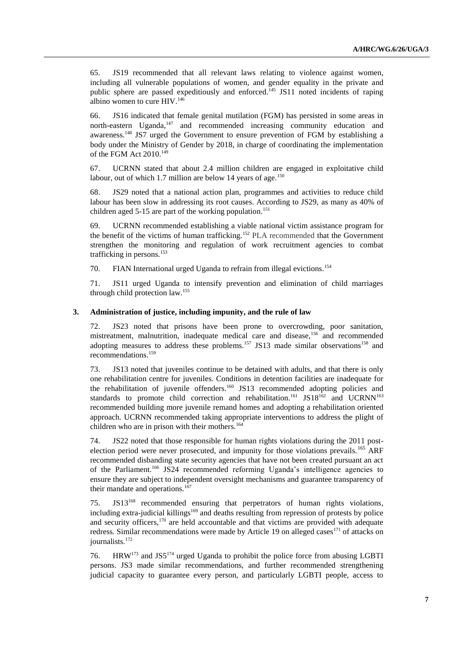65. JS19 recommended that all relevant laws relating to violence against women, including all vulnerable populations of women, and gender equality in the private and public sphere are passed expeditiously and enforced.<sup>145</sup> JS11 noted incidents of raping albino women to cure  $HIV.<sup>146</sup>$ 

66. JS16 indicated that female genital mutilation (FGM) has persisted in some areas in north-eastern Uganda,<sup>147</sup> and recommended increasing community education and awareness.<sup>148</sup> JS7 urged the Government to ensure prevention of FGM by establishing a body under the Ministry of Gender by 2018, in charge of coordinating the implementation of the FGM Act  $2010.<sup>149</sup>$ 

67. UCRNN stated that about 2.4 million children are engaged in exploitative child labour, out of which 1.7 million are below 14 years of age.<sup>150</sup>

68. JS29 noted that a national action plan, programmes and activities to reduce child labour has been slow in addressing its root causes. According to JS29, as many as 40% of children aged  $5-15$  are part of the working population.<sup>151</sup>

69. UCRNN recommended establishing a viable national victim assistance program for the benefit of the victims of human trafficking.<sup>152</sup> PLA recommended that the Government strengthen the monitoring and regulation of work recruitment agencies to combat trafficking in persons.<sup>153</sup>

70. FIAN International urged Uganda to refrain from illegal evictions. 154

71. JS11 urged Uganda to intensify prevention and elimination of child marriages through child protection law.<sup>155</sup>

# **3. Administration of justice, including impunity, and the rule of law**

72. JS23 noted that prisons have been prone to overcrowding, poor sanitation, mistreatment, malnutrition, inadequate medical care and disease,<sup>156</sup> and recommended adopting measures to address these problems.<sup>157</sup> JS13 made similar observations<sup>158</sup> and recommendations.<sup>159</sup>

73. JS13 noted that juveniles continue to be detained with adults, and that there is only one rehabilitation centre for juveniles. Conditions in detention facilities are inadequate for the rehabilitation of juvenile offenders.<sup>160</sup> JS13 recommended adopting policies and standards to promote child correction and rehabilitation.<sup>161</sup> JS18<sup>162</sup> and UCRNN<sup>163</sup> recommended building more juvenile remand homes and adopting a rehabilitation oriented approach. UCRNN recommended taking appropriate interventions to address the plight of children who are in prison with their mothers.<sup>164</sup>

74. JS22 noted that those responsible for human rights violations during the 2011 postelection period were never prosecuted, and impunity for those violations prevails.<sup>165</sup> ARF recommended disbanding state security agencies that have not been created pursuant an act of the Parliament.<sup>166</sup> JS24 recommended reforming Uganda's intelligence agencies to ensure they are subject to independent oversight mechanisms and guarantee transparency of their mandate and operations.<sup>167</sup>

75. JS13<sup>168</sup> recommended ensuring that perpetrators of human rights violations, including extra-judicial killings<sup>169</sup> and deaths resulting from repression of protests by police and security officers,<sup>170</sup> are held accountable and that victims are provided with adequate redress. Similar recommendations were made by Article 19 on alleged cases<sup>171</sup> of attacks on journalists.<sup>172</sup>

76. HRW<sup>173</sup> and JS5<sup>174</sup> urged Uganda to prohibit the police force from abusing LGBTI persons. JS3 made similar recommendations, and further recommended strengthening judicial capacity to guarantee every person, and particularly LGBTI people, access to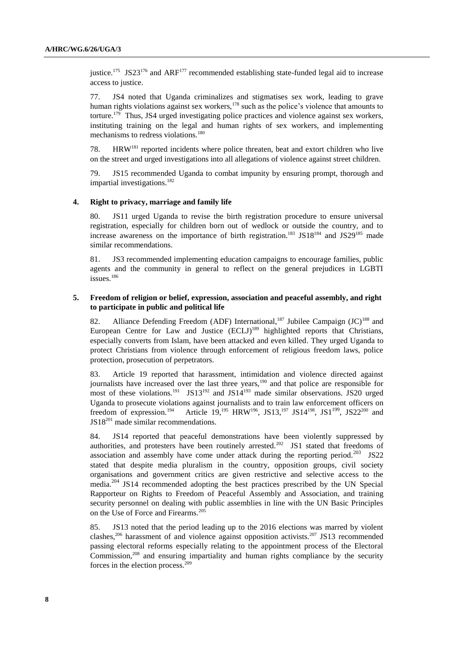justice.<sup>175</sup> JS23<sup>176</sup> and ARF<sup>177</sup> recommended establishing state-funded legal aid to increase access to justice.

77. JS4 noted that Uganda criminalizes and stigmatises sex work, leading to grave human rights violations against sex workers,<sup>178</sup> such as the police's violence that amounts to torture.<sup>179</sup> Thus, JS4 urged investigating police practices and violence against sex workers, instituting training on the legal and human rights of sex workers, and implementing mechanisms to redress violations.<sup>180</sup>

78. HRW<sup>181</sup> reported incidents where police threaten, beat and extort children who live on the street and urged investigations into all allegations of violence against street children.

79. JS15 recommended Uganda to combat impunity by ensuring prompt, thorough and impartial investigations.<sup>182</sup>

### **4. Right to privacy, marriage and family life**

80. JS11 urged Uganda to revise the birth registration procedure to ensure universal registration, especially for children born out of wedlock or outside the country, and to increase awareness on the importance of birth registration.<sup>183</sup> JS18<sup>184</sup> and JS29<sup>185</sup> made similar recommendations.

81. JS3 recommended implementing education campaigns to encourage families, public agents and the community in general to reflect on the general prejudices in LGBTI issues<sup>186</sup>

### **5. Freedom of religion or belief, expression, association and peaceful assembly, and right to participate in public and political life**

82. Alliance Defending Freedom (ADF) International,<sup>187</sup> Jubilee Campaign  $(JC)^{188}$  and European Centre for Law and Justice (ECLJ)<sup>189</sup> highlighted reports that Christians, especially converts from Islam, have been attacked and even killed. They urged Uganda to protect Christians from violence through enforcement of religious freedom laws, police protection, prosecution of perpetrators.

83. Article 19 reported that harassment, intimidation and violence directed against journalists have increased over the last three years,<sup>190</sup> and that police are responsible for most of these violations.<sup>191</sup> JS13<sup>192</sup> and JS14<sup>193</sup> made similar observations. JS20 urged Uganda to prosecute violations against journalists and to train law enforcement officers on freedom of expression.<sup>194</sup> Article 19,<sup>195</sup> HRW<sup>196</sup>, JS13,<sup>197</sup> JS14<sup>198</sup>, JS1<sup>199</sup>, JS22<sup>200</sup> and JS18<sup>201</sup> made similar recommendations.

84. JS14 reported that peaceful demonstrations have been violently suppressed by authorities, and protesters have been routinely arrested.<sup>202</sup> JS1 stated that freedoms of association and assembly have come under attack during the reporting period.<sup>203</sup> JS22 stated that despite media pluralism in the country, opposition groups, civil society organisations and government critics are given restrictive and selective access to the media.<sup>204</sup> JS14 recommended adopting the best practices prescribed by the UN Special Rapporteur on Rights to Freedom of Peaceful Assembly and Association, and training security personnel on dealing with public assemblies in line with the UN Basic Principles on the Use of Force and Firearms.<sup>205</sup>

85. JS13 noted that the period leading up to the 2016 elections was marred by violent clashes,<sup>206</sup> harassment of and violence against opposition activists.<sup>207</sup> JS13 recommended passing electoral reforms especially relating to the appointment process of the Electoral Commission,<sup>208</sup> and ensuring impartiality and human rights compliance by the security forces in the election process.209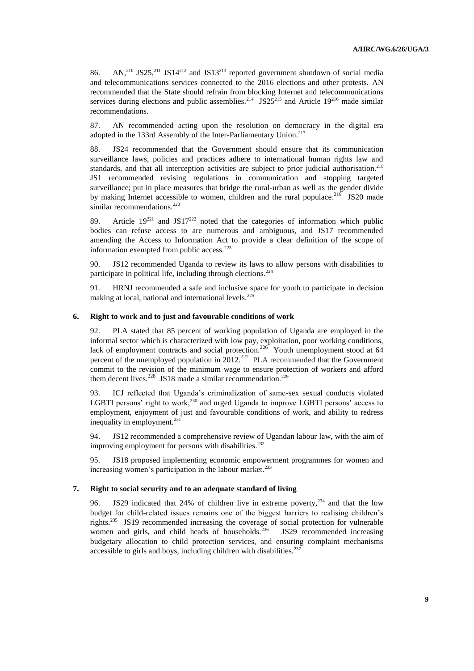86. AN,<sup>210</sup> JS25,<sup>211</sup> JS14<sup>212</sup> and JS13<sup>213</sup> reported government shutdown of social media and telecommunications services connected to the 2016 elections and other protests. AN recommended that the State should refrain from blocking Internet and telecommunications services during elections and public assemblies.<sup>214</sup> JS25<sup>215</sup> and Article 19<sup>216</sup> made similar recommendations.

87. AN recommended acting upon the resolution on democracy in the digital era adopted in the 133rd Assembly of the Inter-Parliamentary Union.<sup>217</sup>

88. JS24 recommended that the Government should ensure that its communication surveillance laws, policies and practices adhere to international human rights law and standards, and that all interception activities are subject to prior judicial authorisation.<sup>218</sup> JS1 recommended revising regulations in communication and stopping targeted surveillance; put in place measures that bridge the rural-urban as well as the gender divide by making Internet accessible to women, children and the rural populace.<sup>219</sup> JS20 made similar recommendations.<sup>220</sup>

89. Article  $19^{221}$  and JS17<sup>222</sup> noted that the categories of information which public bodies can refuse access to are numerous and ambiguous, and JS17 recommended amending the Access to Information Act to provide a clear definition of the scope of information exempted from public  $access.^{223}$ 

90. JS12 recommended Uganda to review its laws to allow persons with disabilities to participate in political life, including through elections.<sup>224</sup>

91. HRNJ recommended a safe and inclusive space for youth to participate in decision making at local, national and international levels.<sup>225</sup>

#### **6. Right to work and to just and favourable conditions of work**

92. PLA stated that 85 percent of working population of Uganda are employed in the informal sector which is characterized with low pay, exploitation, poor working conditions, lack of employment contracts and social protection.<sup>226</sup> Youth unemployment stood at 64 percent of the unemployed population in  $2012$ <sup>227</sup> PLA recommended that the Government commit to the revision of the minimum wage to ensure protection of workers and afford them decent lives.<sup>228</sup> JS18 made a similar recommendation.<sup>229</sup>

93. ICJ reflected that Uganda's criminalization of same-sex sexual conducts violated LGBTI persons' right to work,<sup>230</sup> and urged Uganda to improve LGBTI persons' access to employment, enjoyment of just and favourable conditions of work, and ability to redress inequality in employment.<sup>231</sup>

94. JS12 recommended a comprehensive review of Ugandan labour law, with the aim of improving employment for persons with disabilities.<sup>232</sup>

95. JS18 proposed implementing economic empowerment programmes for women and increasing women's participation in the labour market.<sup>233</sup>

#### **7. Right to social security and to an adequate standard of living**

96. JS29 indicated that 24% of children live in extreme poverty,<sup>234</sup> and that the low budget for child-related issues remains one of the biggest barriers to realising children's rights.<sup>235</sup> JS19 recommended increasing the coverage of social protection for vulnerable women and girls, and child heads of households.<sup>236</sup> JS29 recommended increasing budgetary allocation to child protection services, and ensuring complaint mechanisms accessible to girls and boys, including children with disabilities.<sup>23</sup>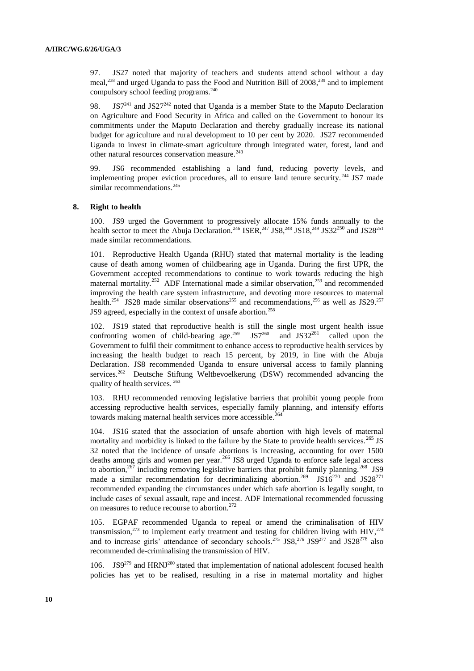97. JS27 noted that majority of teachers and students attend school without a day meal, <sup>238</sup> and urged Uganda to pass the Food and Nutrition Bill of 2008, <sup>239</sup> and to implement compulsory school feeding programs. 240

98. JS $7^{241}$  and JS2 $7^{242}$  noted that Uganda is a member State to the Maputo Declaration on Agriculture and Food Security in Africa and called on the Government to honour its commitments under the Maputo Declaration and thereby gradually increase its national budget for agriculture and rural development to 10 per cent by 2020. JS27 recommended Uganda to invest in climate-smart agriculture through integrated water, forest, land and other natural resources conservation measure.<sup>243</sup>

99. JS6 recommended establishing a land fund, reducing poverty levels, and implementing proper eviction procedures, all to ensure land tenure security.<sup>244</sup> JS7 made similar recommendations.<sup>245</sup>

### **8. Right to health**

100. JS9 urged the Government to progressively allocate 15% funds annually to the health sector to meet the Abuja Declaration.<sup>246</sup> ISER,<sup>247</sup> JS8,<sup>248</sup> JS18,<sup>249</sup> JS32<sup>250</sup> and JS28<sup>251</sup> made similar recommendations.

101. Reproductive Health Uganda (RHU) stated that maternal mortality is the leading cause of death among women of childbearing age in Uganda. During the first UPR, the Government accepted recommendations to continue to work towards reducing the high maternal mortality.<sup>252</sup> ADF International made a similar observation,<sup>253</sup> and recommended improving the health care system infrastructure, and devoting more resources to maternal health.<sup>254</sup> JS28 made similar observations<sup>255</sup> and recommendations,<sup>256</sup> as well as JS29.<sup>257</sup> JS9 agreed, especially in the context of unsafe abortion.<sup>258</sup>

102. JS19 stated that reproductive health is still the single most urgent health issue confronting women of child-bearing age.<sup>259</sup> JS7<sup>260</sup> and JS32<sup>261</sup> called upon the Government to fulfil their commitment to enhance access to reproductive health services by increasing the health budget to reach 15 percent, by 2019, in line with the Abuja Declaration. JS8 recommended Uganda to ensure universal access to family planning services.<sup>262</sup> Deutsche Stiftung Weltbevoelkerung (DSW) recommended advancing the quality of health services. <sup>263</sup>

103. RHU recommended removing legislative barriers that prohibit young people from accessing reproductive health services, especially family planning, and intensify efforts towards making maternal health services more accessible.

JS16 stated that the association of unsafe abortion with high levels of maternal mortality and morbidity is linked to the failure by the State to provide health services.<sup>265</sup> JS 32 noted that the incidence of unsafe abortions is increasing, accounting for over 1500 deaths among girls and women per year.<sup>266</sup> JS8 urged Uganda to enforce safe legal access to abortion,  $267$  including removing legislative barriers that prohibit family planning.  $268$  JS9 made a similar recommendation for decriminalizing abortion.<sup>269</sup> JS16<sup>270</sup> and JS28<sup>271</sup> recommended expanding the circumstances under which safe abortion is legally sought, to include cases of sexual assault, rape and incest. ADF International recommended focussing on measures to reduce recourse to abortion.<sup>272</sup>

105. EGPAF recommended Uganda to repeal or amend the criminalisation of HIV transmission,<sup>273</sup> to implement early treatment and testing for children living with HIV,<sup>274</sup> and to increase girls' attendance of secondary schools.<sup>275</sup> JS8,<sup>276</sup> JS9<sup>277</sup> and JS28<sup>278</sup> also recommended de-criminalising the transmission of HIV.

106. JS $9^{279}$  and HRNJ<sup>280</sup> stated that implementation of national adolescent focused health policies has yet to be realised, resulting in a rise in maternal mortality and higher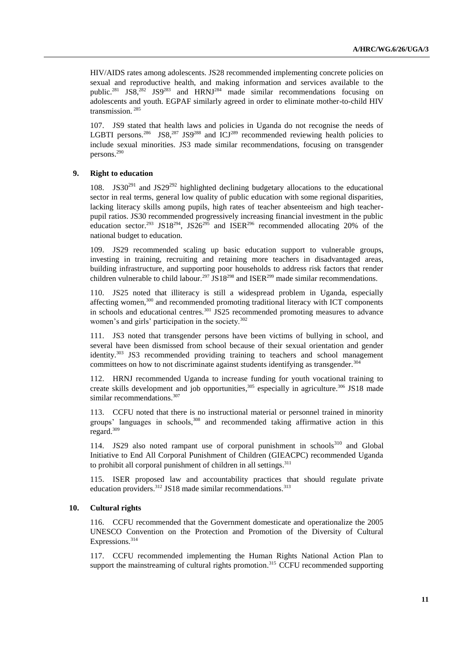HIV/AIDS rates among adolescents. JS28 recommended implementing concrete policies on sexual and reproductive health, and making information and services available to the public.<sup>281</sup> JS8,<sup>282</sup> JS9<sup>283</sup> and HRNJ<sup>284</sup> made similar recommendations focusing on adolescents and youth. EGPAF similarly agreed in order to eliminate mother-to-child HIV transmission. <sup>285</sup>

107. JS9 stated that health laws and policies in Uganda do not recognise the needs of LGBTI persons.<sup>286</sup> JS8,<sup>287</sup> JS9<sup>288</sup> and ICJ<sup>289</sup> recommended reviewing health policies to include sexual minorities. JS3 made similar recommendations, focusing on transgender persons.<sup>290</sup>

# **9. Right to education**

108. JS30<sup>291</sup> and JS29<sup>292</sup> highlighted declining budgetary allocations to the educational sector in real terms, general low quality of public education with some regional disparities, lacking literacy skills among pupils, high rates of teacher absenteeism and high teacherpupil ratios. JS30 recommended progressively increasing financial investment in the public education sector.<sup>293</sup> JS18<sup>294</sup>, JS26<sup>295</sup> and ISER<sup>296</sup> recommended allocating 20% of the national budget to education.

109. JS29 recommended scaling up basic education support to vulnerable groups, investing in training, recruiting and retaining more teachers in disadvantaged areas, building infrastructure, and supporting poor households to address risk factors that render children vulnerable to child labour.<sup>297</sup> JS18<sup>298</sup> and ISER<sup>299</sup> made similar recommendations.

110. JS25 noted that illiteracy is still a widespread problem in Uganda, especially affecting women,<sup>300</sup> and recommended promoting traditional literacy with ICT components in schools and educational centres.<sup>301</sup> JS25 recommended promoting measures to advance women's and girls' participation in the society.<sup>302</sup>

111. JS3 noted that transgender persons have been victims of bullying in school, and several have been dismissed from school because of their sexual orientation and gender identity.<sup>303</sup> JS3 recommended providing training to teachers and school management committees on how to not discriminate against students identifying as transgender.<sup>304</sup>

112. HRNJ recommended Uganda to increase funding for youth vocational training to create skills development and job opportunities,  $305$  especially in agriculture.  $306$  JS18 made similar recommendations.<sup>307</sup>

113. CCFU noted that there is no instructional material or personnel trained in minority groups' languages in schools,<sup>308</sup> and recommended taking affirmative action in this regard. 309

114. JS29 also noted rampant use of corporal punishment in  $schools<sup>310</sup>$  and Global Initiative to End All Corporal Punishment of Children (GIEACPC) recommended Uganda to prohibit all corporal punishment of children in all settings.<sup>311</sup>

115. ISER proposed law and accountability practices that should regulate private education providers.<sup>312</sup> JS18 made similar recommendations.<sup>313</sup>

#### **10. Cultural rights**

116. CCFU recommended that the Government domesticate and operationalize the 2005 UNESCO Convention on the Protection and Promotion of the Diversity of Cultural Expressions.<sup>314</sup>

117. CCFU recommended implementing the Human Rights National Action Plan to support the mainstreaming of cultural rights promotion. 315 CCFU recommended supporting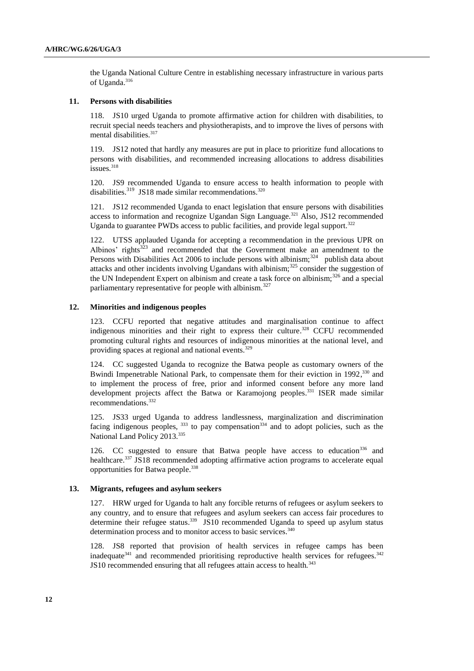the Uganda National Culture Centre in establishing necessary infrastructure in various parts of Uganda.<sup>316</sup>

## **11. Persons with disabilities**

118. JS10 urged Uganda to promote affirmative action for children with disabilities, to recruit special needs teachers and physiotherapists, and to improve the lives of persons with mental disabilities.<sup>317</sup>

119. JS12 noted that hardly any measures are put in place to prioritize fund allocations to persons with disabilities, and recommended increasing allocations to address disabilities issues. 318

120. JS9 recommended Uganda to ensure access to health information to people with disabilities.<sup>319</sup> JS18 made similar recommendations.<sup>320</sup>

121. JS12 recommended Uganda to enact legislation that ensure persons with disabilities access to information and recognize Ugandan Sign Language.<sup>321</sup> Also, JS12 recommended Uganda to guarantee PWDs access to public facilities, and provide legal support.<sup>322</sup>

122. UTSS applauded Uganda for accepting a recommendation in the previous UPR on Albinos' rights<sup>323</sup> and recommended that the Government make an amendment to the Persons with Disabilities Act 2006 to include persons with albinism; $^{324}$  publish data about attacks and other incidents involving Ugandans with albinism;<sup>325</sup> consider the suggestion of the UN Independent Expert on albinism and create a task force on albinism; $326$  and a special parliamentary representative for people with albinism.<sup>327</sup>

### **12. Minorities and indigenous peoples**

123. CCFU reported that negative attitudes and marginalisation continue to affect indigenous minorities and their right to express their culture. <sup>328</sup> CCFU recommended promoting cultural rights and resources of indigenous minorities at the national level, and providing spaces at regional and national events.<sup>329</sup>

124. CC suggested Uganda to recognize the Batwa people as customary owners of the Bwindi Impenetrable National Park, to compensate them for their eviction in 1992,<sup>330</sup> and to implement the process of free, prior and informed consent before any more land development projects affect the Batwa or Karamojong peoples.<sup>331</sup> ISER made similar recommendations.<sup>332</sup>

125. JS33 urged Uganda to address landlessness, marginalization and discrimination facing indigenous peoples,  $333$  to pay compensation  $334$  and to adopt policies, such as the National Land Policy 2013.<sup>335</sup>

126. CC suggested to ensure that Batwa people have access to education<sup>336</sup> and healthcare.<sup>337</sup> JS18 recommended adopting affirmative action programs to accelerate equal opportunities for Batwa people.<sup>338</sup>

#### **13. Migrants, refugees and asylum seekers**

127. HRW urged for Uganda to halt any forcible returns of refugees or asylum seekers to any country, and to ensure that refugees and asylum seekers can access fair procedures to determine their refugee status.<sup>339</sup> JS10 recommended Uganda to speed up asylum status determination process and to monitor access to basic services.<sup>340</sup>

128. JS8 reported that provision of health services in refugee camps has been inadequate<sup>341</sup> and recommended prioritising reproductive health services for refugees.<sup>342</sup> JS10 recommended ensuring that all refugees attain access to health.<sup>343</sup>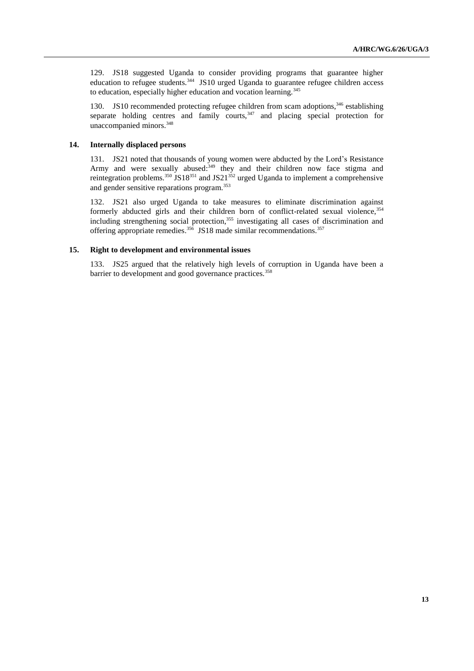129. JS18 suggested Uganda to consider providing programs that guarantee higher education to refugee students.<sup>344</sup> JS10 urged Uganda to guarantee refugee children access to education, especially higher education and vocation learning.<sup>345</sup>

130. JS10 recommended protecting refugee children from scam adoptions,  $346$  establishing separate holding centres and family courts, $347$  and placing special protection for unaccompanied minors.<sup>348</sup>

# **14. Internally displaced persons**

131. JS21 noted that thousands of young women were abducted by the Lord's Resistance Army and were sexually abused:<sup>349</sup> they and their children now face stigma and reintegration problems.<sup>350</sup> JS18<sup>351</sup> and JS21<sup>352</sup> urged Uganda to implement a comprehensive and gender sensitive reparations program.<sup>353</sup>

132. JS21 also urged Uganda to take measures to eliminate discrimination against formerly abducted girls and their children born of conflict-related sexual violence, 354 including strengthening social protection, <sup>355</sup> investigating all cases of discrimination and offering appropriate remedies.<sup>356</sup> JS18 made similar recommendations.<sup>357</sup>

# **15. Right to development and environmental issues**

133. JS25 argued that the relatively high levels of corruption in Uganda have been a barrier to development and good governance practices.<sup>358</sup>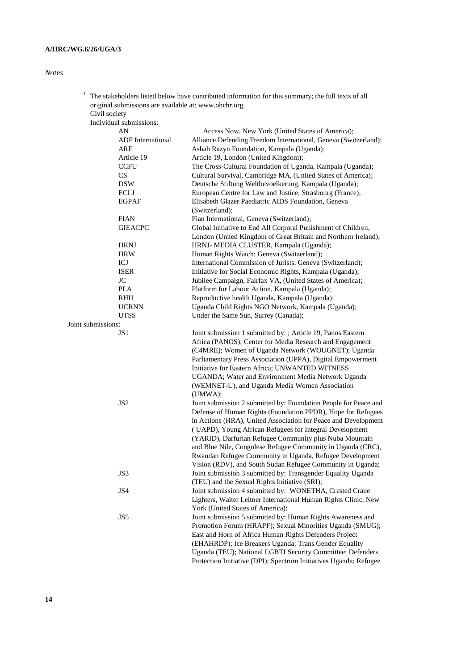| $1$ The stakeholders listed below have contributed information for this summary; the full texts of all |
|--------------------------------------------------------------------------------------------------------|
| original submissions are available at: www.ohchr.org.                                                  |

Civil society Individual submissions:

|                    | AN                       | Access Now, New York (United States of America);                  |
|--------------------|--------------------------|-------------------------------------------------------------------|
|                    | <b>ADF</b> International | Alliance Defending Freedom International, Geneva (Switzerland);   |
|                    | ARF                      | Ashah Razyn Foundation, Kampala (Uganda);                         |
|                    | Article 19               | Article 19, London (United Kingdom);                              |
|                    | <b>CCFU</b>              | The Cross-Cultural Foundation of Uganda, Kampala (Uganda);        |
|                    | CS                       | Cultural Survival, Cambridge MA, (United States of America);      |
|                    | <b>DSW</b>               | Deutsche Stiftung Weltbevoelkerung, Kampala (Uganda);             |
|                    | ECLJ                     | European Centre for Law and Justice, Strasbourg (France);         |
|                    | <b>EGPAF</b>             | Elisabeth Glazer Paediatric AIDS Foundation, Geneva               |
|                    |                          | (Switzerland);                                                    |
|                    | <b>FIAN</b>              | Fian International, Geneva (Switzerland);                         |
|                    | <b>GIEACPC</b>           | Global Initiative to End All Corporal Punishment of Children,     |
|                    |                          | London (United Kingdom of Great Britain and Northern Ireland);    |
|                    | <b>HRNJ</b>              | HRNJ- MEDIA CLUSTER, Kampala (Uganda);                            |
|                    | <b>HRW</b>               | Human Rights Watch; Geneva (Switzerland);                         |
|                    | ICJ                      | International Commission of Jurists, Geneva (Switzerland);        |
|                    | <b>ISER</b>              | Initiative for Social Economic Rights, Kampala (Uganda);          |
|                    | $\rm JC$                 | Jubilee Campaign, Fairfax VA, (United States of America);         |
|                    | PLA                      | Platform for Labour Action, Kampala (Uganda);                     |
|                    | RHU                      | Reproductive health Uganda, Kampala (Uganda);                     |
|                    | <b>UCRNN</b>             | Uganda Child Rights NGO Network, Kampala (Uganda);                |
|                    | <b>UTSS</b>              | Under the Same Sun, Surrey (Canada);                              |
| Joint submissions: |                          |                                                                   |
|                    | JS1                      | Joint submission 1 submitted by: ; Article 19, Panos Eastern      |
|                    |                          | Africa (PANOS); Center for Media Research and Engagement          |
|                    |                          | (C4MRE); Women of Uganda Network (WOUGNET); Uganda                |
|                    |                          |                                                                   |
|                    |                          | Parliamentary Press Association (UPPA), Digital Empowerment       |
|                    |                          | Initiative for Eastern Africa; UNWANTED WITNESS                   |
|                    |                          | UGANDA; Water and Environment Media Network Uganda                |
|                    |                          | (WEMNET-U), and Uganda Media Women Association                    |
|                    |                          | (UMWA);                                                           |
|                    | JS <sub>2</sub>          | Joint submission 2 submitted by: Foundation People for Peace and  |
|                    |                          | Defense of Human Rights (Foundation PPDR), Hope for Refugees      |
|                    |                          | in Actions (HRA), United Association for Peace and Development    |
|                    |                          | (UAPD), Young African Refugees for Integral Development           |
|                    |                          | (YARID), Darfurian Refugee Community plus Nuba Mountain           |
|                    |                          | and Blue Nile, Congolese Refugee Community in Uganda (CRC),       |
|                    |                          | Rwandan Refugee Community in Uganda, Refugee Development          |
|                    |                          | Vision (RDV), and South Sudan Refugee Community in Uganda;        |
|                    | JS3                      | Joint submission 3 submitted by: Transgender Equality Uganda      |
|                    |                          | (TEU) and the Sexual Rights Initiative (SRI);                     |
|                    | JS4                      | Joint submission 4 submitted by: WONETHA, Crested Crane           |
|                    |                          | Lighters, Walter Leitner International Human Rights Clinic, New   |
|                    |                          | York (United States of America);                                  |
|                    | JS5                      | Joint submission 5 submitted by: Human Rights Awareness and       |
|                    |                          | Promotion Forum (HRAPF); Sexual Minorities Uganda (SMUG);         |
|                    |                          | East and Horn of Africa Human Rights Defenders Project            |
|                    |                          | (EHAHRDP); Ice Breakers Uganda; Trans Gender Equality             |
|                    |                          | Uganda (TEU); National LGBTI Security Committee; Defenders        |
|                    |                          | Protection Initiative (DPI); Spectrum Initiatives Uganda; Refugee |
|                    |                          |                                                                   |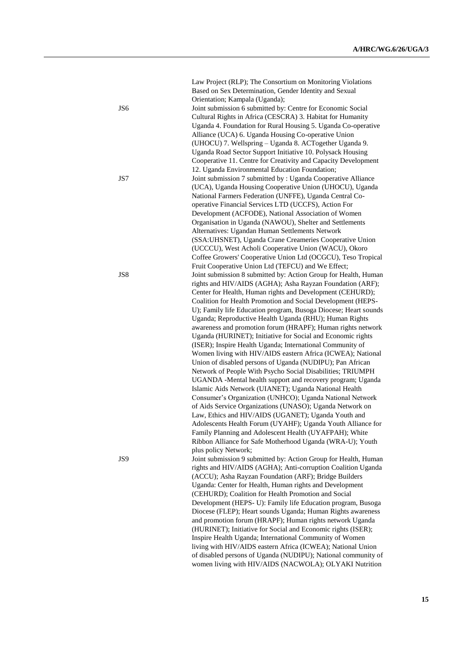| JS6 | Law Project (RLP); The Consortium on Monitoring Violations<br>Based on Sex Determination, Gender Identity and Sexual<br>Orientation; Kampala (Uganda);<br>Joint submission 6 submitted by: Centre for Economic Social<br>Cultural Rights in Africa (CESCRA) 3. Habitat for Humanity<br>Uganda 4. Foundation for Rural Housing 5. Uganda Co-operative<br>Alliance (UCA) 6. Uganda Housing Co-operative Union                                                                                                                                      |
|-----|--------------------------------------------------------------------------------------------------------------------------------------------------------------------------------------------------------------------------------------------------------------------------------------------------------------------------------------------------------------------------------------------------------------------------------------------------------------------------------------------------------------------------------------------------|
| JS7 | (UHOCU) 7. Wellspring - Uganda 8. ACTogether Uganda 9.<br>Uganda Road Sector Support Initiative 10. Polysack Housing<br>Cooperative 11. Centre for Creativity and Capacity Development<br>12. Uganda Environmental Education Foundation;<br>Joint submission 7 submitted by : Uganda Cooperative Alliance<br>(UCA), Uganda Housing Cooperative Union (UHOCU), Uganda<br>National Farmers Federation (UNFFE), Uganda Central Co-<br>operative Financial Services LTD (UCCFS), Action For<br>Development (ACFODE), National Association of Women   |
| JS8 | Organisation in Uganda (NAWOU), Shelter and Settlements<br>Alternatives: Ugandan Human Settlements Network<br>(SSA:UHSNET), Uganda Crane Creameries Cooperative Union<br>(UCCCU), West Acholi Cooperative Union (WACU), Okoro<br>Coffee Growers' Cooperative Union Ltd (OCGCU), Teso Tropical<br>Fruit Cooperative Union Ltd (TEFCU) and We Effect;<br>Joint submission 8 submitted by: Action Group for Health, Human<br>rights and HIV/AIDS (AGHA); Asha Rayzan Foundation (ARF);<br>Center for Health, Human rights and Development (CEHURD); |
|     | Coalition for Health Promotion and Social Development (HEPS-<br>U); Family life Education program, Busoga Diocese; Heart sounds<br>Uganda; Reproductive Health Uganda (RHU); Human Rights<br>awareness and promotion forum (HRAPF); Human rights network<br>Uganda (HURINET); Initiative for Social and Economic rights<br>(ISER); Inspire Health Uganda; International Community of<br>Women living with HIV/AIDS eastern Africa (ICWEA); National<br>Union of disabled persons of Uganda (NUDIPU); Pan African                                 |
|     | Network of People With Psycho Social Disabilities; TRIUMPH<br>UGANDA -Mental health support and recovery program; Uganda<br>Islamic Aids Network (UIANET); Uganda National Health<br>Consumer's Organization (UNHCO); Uganda National Network<br>of Aids Service Organizations (UNASO); Uganda Network on<br>Law, Ethics and HIV/AIDS (UGANET); Uganda Youth and<br>Adolescents Health Forum (UYAHF); Uganda Youth Alliance for<br>Family Planning and Adolescent Health (UYAFPAH); White                                                        |
| JS9 | Ribbon Alliance for Safe Motherhood Uganda (WRA-U); Youth<br>plus policy Network;<br>Joint submission 9 submitted by: Action Group for Health, Human<br>rights and HIV/AIDS (AGHA); Anti-corruption Coalition Uganda<br>(ACCU); Asha Rayzan Foundation (ARF); Bridge Builders<br>Uganda: Center for Health, Human rights and Development<br>(CEHURD); Coalition for Health Promotion and Social                                                                                                                                                  |
|     | Development (HEPS- U): Family life Education program, Busoga<br>Diocese (FLEP); Heart sounds Uganda; Human Rights awareness<br>and promotion forum (HRAPF); Human rights network Uganda<br>(HURINET); Initiative for Social and Economic rights (ISER);<br>Inspire Health Uganda; International Community of Women<br>living with HIV/AIDS eastern Africa (ICWEA); National Union<br>of disabled persons of Uganda (NUDIPU); National community of<br>women living with HIV/AIDS (NACWOLA); OLYAKI Nutrition                                     |

**15**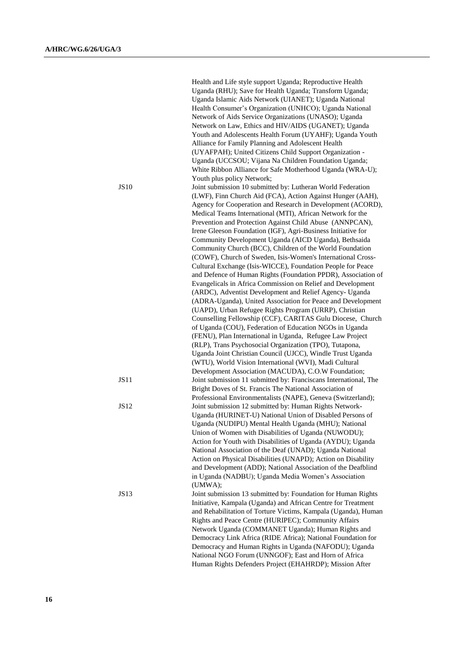|             | Health and Life style support Uganda; Reproductive Health<br>Uganda (RHU); Save for Health Uganda; Transform Uganda;<br>Uganda Islamic Aids Network (UIANET); Uganda National<br>Health Consumer's Organization (UNHCO); Uganda National<br>Network of Aids Service Organizations (UNASO); Uganda<br>Network on Law, Ethics and HIV/AIDS (UGANET); Uganda<br>Youth and Adolescents Health Forum (UYAHF); Uganda Youth<br>Alliance for Family Planning and Adolescent Health<br>(UYAFPAH); United Citizens Child Support Organization -<br>Uganda (UCCSOU; Vijana Na Children Foundation Uganda; |
|-------------|-------------------------------------------------------------------------------------------------------------------------------------------------------------------------------------------------------------------------------------------------------------------------------------------------------------------------------------------------------------------------------------------------------------------------------------------------------------------------------------------------------------------------------------------------------------------------------------------------|
|             | White Ribbon Alliance for Safe Motherhood Uganda (WRA-U);<br>Youth plus policy Network;                                                                                                                                                                                                                                                                                                                                                                                                                                                                                                         |
| <b>JS10</b> | Joint submission 10 submitted by: Lutheran World Federation<br>(LWF), Finn Church Aid (FCA), Action Against Hunger (AAH),<br>Agency for Cooperation and Research in Development (ACORD),<br>Medical Teams International (MTI), African Network for the<br>Prevention and Protection Against Child Abuse (ANNPCAN),<br>Irene Gleeson Foundation (IGF), Agri-Business Initiative for<br>Community Development Uganda (AICD Uganda), Bethsaida<br>Community Church (BCC), Children of the World Foundation                                                                                         |
|             | (COWF), Church of Sweden, Isis-Women's International Cross-<br>Cultural Exchange (Isis-WICCE), Foundation People for Peace<br>and Defence of Human Rights (Foundation PPDR), Association of<br>Evangelicals in Africa Commission on Relief and Development<br>(ARDC), Adventist Development and Relief Agency- Uganda                                                                                                                                                                                                                                                                           |
|             | (ADRA-Uganda), United Association for Peace and Development<br>(UAPD), Urban Refugee Rights Program (URRP), Christian<br>Counselling Fellowship (CCF), CARITAS Gulu Diocese, Church<br>of Uganda (COU), Federation of Education NGOs in Uganda                                                                                                                                                                                                                                                                                                                                                  |
|             | (FENU), Plan International in Uganda, Refugee Law Project<br>(RLP), Trans Psychosocial Organization (TPO), Tutapona,<br>Uganda Joint Christian Council (UJCC), Windle Trust Uganda<br>(WTU), World Vision International (WVI), Madi Cultural<br>Development Association (MACUDA), C.O.W Foundation;                                                                                                                                                                                                                                                                                             |
| JS11        | Joint submission 11 submitted by: Franciscans International, The<br>Bright Doves of St. Francis The National Association of<br>Professional Environmentalists (NAPE), Geneva (Switzerland);                                                                                                                                                                                                                                                                                                                                                                                                     |
| <b>JS12</b> | Joint submission 12 submitted by: Human Rights Network-<br>Uganda (HURINET-U) National Union of Disabled Persons of<br>Uganda (NUDIPU) Mental Health Uganda (MHU); National<br>Union of Women with Disabilities of Uganda (NUWODU);<br>Action for Youth with Disabilities of Uganda (AYDU); Uganda<br>National Association of the Deaf (UNAD); Uganda National<br>Action on Physical Disabilities (UNAPD); Action on Disability<br>and Development (ADD); National Association of the Deafblind                                                                                                 |
|             | in Uganda (NADBU); Uganda Media Women's Association<br>(UMWA);                                                                                                                                                                                                                                                                                                                                                                                                                                                                                                                                  |
| JS13        | Joint submission 13 submitted by: Foundation for Human Rights<br>Initiative, Kampala (Uganda) and African Centre for Treatment<br>and Rehabilitation of Torture Victims, Kampala (Uganda), Human<br>Rights and Peace Centre (HURIPEC); Community Affairs<br>Network Uganda (COMMANET Uganda); Human Rights and<br>Democracy Link Africa (RIDE Africa); National Foundation for<br>Democracy and Human Rights in Uganda (NAFODU); Uganda<br>National NGO Forum (UNNGOF); East and Horn of Africa<br>Human Rights Defenders Project (EHAHRDP); Mission After                                      |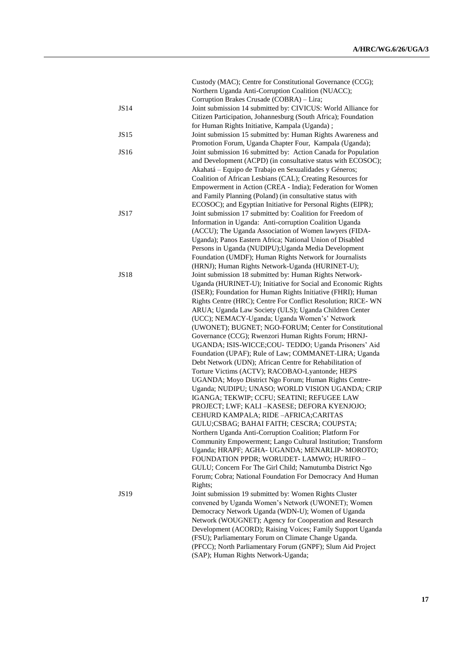|             | Custody (MAC); Centre for Constitutional Governance (CCG);                                                                |
|-------------|---------------------------------------------------------------------------------------------------------------------------|
|             | Northern Uganda Anti-Corruption Coalition (NUACC);                                                                        |
|             | Corruption Brakes Crusade (COBRA) - Lira;                                                                                 |
| <b>JS14</b> | Joint submission 14 submitted by: CIVICUS: World Alliance for                                                             |
|             | Citizen Participation, Johannesburg (South Africa); Foundation                                                            |
|             | for Human Rights Initiative, Kampala (Uganda);                                                                            |
| JS15        | Joint submission 15 submitted by: Human Rights Awareness and                                                              |
| JS16        | Promotion Forum, Uganda Chapter Four, Kampala (Uganda);<br>Joint submission 16 submitted by: Action Canada for Population |
|             | and Development (ACPD) (in consultative status with ECOSOC);                                                              |
|             | Akahatá - Equipo de Trabajo en Sexualidades y Géneros;                                                                    |
|             | Coalition of African Lesbians (CAL); Creating Resources for                                                               |
|             | Empowerment in Action (CREA - India); Federation for Women                                                                |
|             | and Family Planning (Poland) (in consultative status with                                                                 |
|             | ECOSOC); and Egyptian Initiative for Personal Rights (EIPR);                                                              |
| <b>JS17</b> | Joint submission 17 submitted by: Coalition for Freedom of                                                                |
|             | Information in Uganda: Anti-corruption Coalition Uganda                                                                   |
|             | (ACCU); The Uganda Association of Women lawyers (FIDA-                                                                    |
|             | Uganda); Panos Eastern Africa; National Union of Disabled                                                                 |
|             | Persons in Uganda (NUDIPU); Uganda Media Development                                                                      |
|             | Foundation (UMDF); Human Rights Network for Journalists                                                                   |
|             | (HRNJ); Human Rights Network-Uganda (HURINET-U);                                                                          |
| <b>JS18</b> | Joint submission 18 submitted by: Human Rights Network-                                                                   |
|             | Uganda (HURINET-U); Initiative for Social and Economic Rights                                                             |
|             | (ISER); Foundation for Human Rights Initiative (FHRI); Human                                                              |
|             | Rights Centre (HRC); Centre For Conflict Resolution; RICE-WN                                                              |
|             | ARUA; Uganda Law Society (ULS); Uganda Children Center                                                                    |
|             | (UCC); NEMACY-Uganda; Uganda Women's' Network<br>(UWONET); BUGNET; NGO-FORUM; Center for Constitutional                   |
|             | Governance (CCG); Rwenzori Human Rights Forum; HRNJ-                                                                      |
|             | UGANDA; ISIS-WICCE;COU- TEDDO; Uganda Prisoners' Aid                                                                      |
|             | Foundation (UPAF); Rule of Law; COMMANET-LIRA; Uganda                                                                     |
|             | Debt Network (UDN); African Centre for Rehabilitation of                                                                  |
|             | Torture Victims (ACTV); RACOBAO-Lyantonde; HEPS                                                                           |
|             | UGANDA; Moyo District Ngo Forum; Human Rights Centre-                                                                     |
|             | Uganda; NUDIPU; UNASO; WORLD VISION UGANDA; CRIP                                                                          |
|             | IGANGA; TEKWIP; CCFU; SEATINI; REFUGEE LAW                                                                                |
|             | PROJECT; LWF; KALI-KASESE; DEFORA KYENJOJO;                                                                               |
|             | CEHURD KAMPALA; RIDE-AFRICA;CARITAS                                                                                       |
|             | GULU;CSBAG; BAHAI FAITH; CESCRA; COUPSTA;                                                                                 |
|             | Northern Uganda Anti-Corruption Coalition; Platform For                                                                   |
|             | Community Empowerment; Lango Cultural Institution; Transform                                                              |
|             | Uganda; HRAPF; AGHA- UGANDA; MENARLIP- MOROTO;                                                                            |
|             | FOUNDATION PPDR; WORUDET- LAMWO; HURIFO -                                                                                 |
|             | GULU; Concern For The Girl Child; Namutumba District Ngo                                                                  |
|             | Forum; Cobra; National Foundation For Democracy And Human                                                                 |
| JS19        | Rights;<br>Joint submission 19 submitted by: Women Rights Cluster                                                         |
|             | convened by Uganda Women's Network (UWONET); Women                                                                        |
|             | Democracy Network Uganda (WDN-U); Women of Uganda                                                                         |
|             | Network (WOUGNET); Agency for Cooperation and Research                                                                    |
|             | Development (ACORD); Raising Voices; Family Support Uganda                                                                |
|             | (FSU); Parliamentary Forum on Climate Change Uganda.                                                                      |
|             | (PFCC); North Parliamentary Forum (GNPF); Slum Aid Project                                                                |
|             | (SAP); Human Rights Network-Uganda;                                                                                       |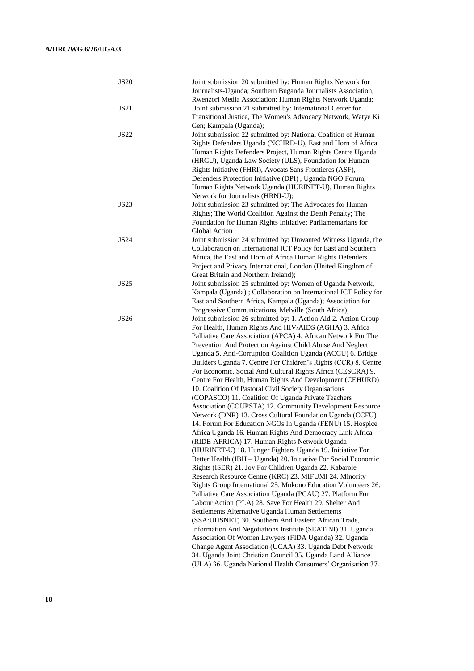| <b>JS20</b>      | Joint submission 20 submitted by: Human Rights Network for<br>Journalists-Uganda; Southern Buganda Journalists Association;  |
|------------------|------------------------------------------------------------------------------------------------------------------------------|
|                  | Rwenzori Media Association; Human Rights Network Uganda;                                                                     |
| <b>JS21</b>      | Joint submission 21 submitted by: International Center for                                                                   |
|                  | Transitional Justice, The Women's Advocacy Network, Watye Ki                                                                 |
|                  | Gen; Kampala (Uganda);                                                                                                       |
| JS22             | Joint submission 22 submitted by: National Coalition of Human<br>Rights Defenders Uganda (NCHRD-U), East and Horn of Africa  |
|                  | Human Rights Defenders Project, Human Rights Centre Uganda                                                                   |
|                  | (HRCU), Uganda Law Society (ULS), Foundation for Human                                                                       |
|                  | Rights Initiative (FHRI), Avocats Sans Frontieres (ASF),                                                                     |
|                  | Defenders Protection Initiative (DPI), Uganda NGO Forum,                                                                     |
|                  | Human Rights Network Uganda (HURINET-U), Human Rights                                                                        |
|                  | Network for Journalists (HRNJ-U);                                                                                            |
| JS <sub>23</sub> | Joint submission 23 submitted by: The Advocates for Human                                                                    |
|                  | Rights; The World Coalition Against the Death Penalty; The                                                                   |
|                  | Foundation for Human Rights Initiative; Parliamentarians for                                                                 |
|                  | Global Action                                                                                                                |
| <b>JS24</b>      | Joint submission 24 submitted by: Unwanted Witness Uganda, the                                                               |
|                  | Collaboration on International ICT Policy for East and Southern                                                              |
|                  | Africa, the East and Horn of Africa Human Rights Defenders                                                                   |
|                  | Project and Privacy International, London (United Kingdom of                                                                 |
|                  | Great Britain and Northern Ireland);                                                                                         |
| <b>JS25</b>      | Joint submission 25 submitted by: Women of Uganda Network,                                                                   |
|                  | Kampala (Uganda); Collaboration on International ICT Policy for                                                              |
|                  | East and Southern Africa, Kampala (Uganda); Association for                                                                  |
| <b>JS26</b>      | Progressive Communications, Melville (South Africa);<br>Joint submission 26 submitted by: 1. Action Aid 2. Action Group      |
|                  | For Health, Human Rights And HIV/AIDS (AGHA) 3. Africa                                                                       |
|                  | Palliative Care Association (APCA) 4. African Network For The                                                                |
|                  | Prevention And Protection Against Child Abuse And Neglect                                                                    |
|                  | Uganda 5. Anti-Corruption Coalition Uganda (ACCU) 6. Bridge                                                                  |
|                  | Builders Uganda 7. Centre For Children's Rights (CCR) 8. Centre                                                              |
|                  | For Economic, Social And Cultural Rights Africa (CESCRA) 9.                                                                  |
|                  | Centre For Health, Human Rights And Development (CEHURD)                                                                     |
|                  | 10. Coalition Of Pastoral Civil Society Organisations                                                                        |
|                  | (COPASCO) 11. Coalition Of Uganda Private Teachers                                                                           |
|                  | Association (COUPSTA) 12. Community Development Resource                                                                     |
|                  | Network (DNR) 13. Cross Cultural Foundation Uganda (CCFU)                                                                    |
|                  | 14. Forum For Education NGOs In Uganda (FENU) 15. Hospice                                                                    |
|                  | Africa Uganda 16. Human Rights And Democracy Link Africa                                                                     |
|                  | (RIDE-AFRICA) 17. Human Rights Network Uganda                                                                                |
|                  | (HURINET-U) 18. Hunger Fighters Uganda 19. Initiative For<br>Better Health (IBH - Uganda) 20. Initiative For Social Economic |
|                  | Rights (ISER) 21. Joy For Children Uganda 22. Kabarole                                                                       |
|                  | Research Resource Centre (KRC) 23. MIFUMI 24. Minority                                                                       |
|                  | Rights Group International 25. Mukono Education Volunteers 26.                                                               |
|                  | Palliative Care Association Uganda (PCAU) 27. Platform For                                                                   |
|                  | Labour Action (PLA) 28. Save For Health 29. Shelter And                                                                      |
|                  | Settlements Alternative Uganda Human Settlements                                                                             |
|                  | (SSA:UHSNET) 30. Southern And Eastern African Trade,                                                                         |
|                  | Information And Negotiations Institute (SEATINI) 31. Uganda                                                                  |
|                  | Association Of Women Lawyers (FIDA Uganda) 32. Uganda                                                                        |
|                  | Change Agent Association (UCAA) 33. Uganda Debt Network                                                                      |
|                  | 34. Uganda Joint Christian Council 35. Uganda Land Alliance                                                                  |
|                  | (ULA) 36. Uganda National Health Consumers' Organisation 37.                                                                 |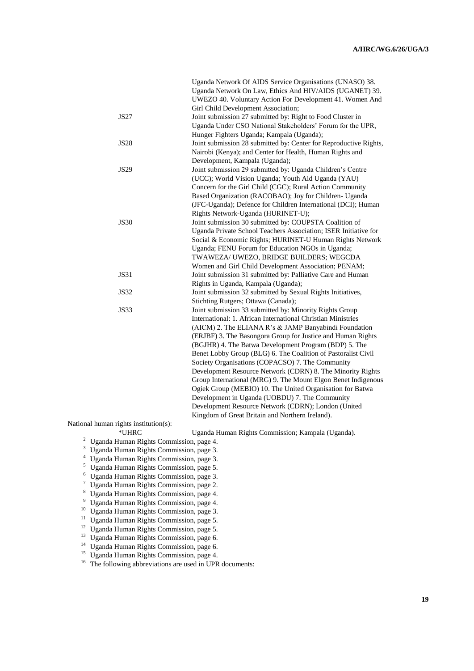|             | Uganda Network Of AIDS Service Organisations (UNASO) 38.          |
|-------------|-------------------------------------------------------------------|
|             | Uganda Network On Law, Ethics And HIV/AIDS (UGANET) 39.           |
|             | UWEZO 40. Voluntary Action For Development 41. Women And          |
|             | Girl Child Development Association;                               |
| <b>JS27</b> | Joint submission 27 submitted by: Right to Food Cluster in        |
|             | Uganda Under CSO National Stakeholders' Forum for the UPR,        |
|             | Hunger Fighters Uganda; Kampala (Uganda);                         |
| <b>JS28</b> | Joint submission 28 submitted by: Center for Reproductive Rights, |
|             | Nairobi (Kenya); and Center for Health, Human Rights and          |
|             | Development, Kampala (Uganda);                                    |
| <b>JS29</b> | Joint submission 29 submitted by: Uganda Children's Centre        |
|             | (UCC); World Vision Uganda; Youth Aid Uganda (YAU)                |
|             | Concern for the Girl Child (CGC); Rural Action Community          |
|             | Based Organization (RACOBAO); Joy for Children- Uganda            |
|             | (JFC-Uganda); Defence for Children International (DCI); Human     |
|             | Rights Network-Uganda (HURINET-U);                                |
| <b>JS30</b> | Joint submission 30 submitted by: COUPSTA Coalition of            |
|             | Uganda Private School Teachers Association; ISER Initiative for   |
|             | Social & Economic Rights; HURINET-U Human Rights Network          |
|             | Uganda; FENU Forum for Education NGOs in Uganda;                  |
|             | TWAWEZA/ UWEZO, BRIDGE BUILDERS; WEGCDA                           |
|             | Women and Girl Child Development Association; PENAM;              |
| JS31        | Joint submission 31 submitted by: Palliative Care and Human       |
|             | Rights in Uganda, Kampala (Uganda);                               |
| <b>JS32</b> | Joint submission 32 submitted by Sexual Rights Initiatives,       |
|             | Stichting Rutgers; Ottawa (Canada);                               |
| <b>JS33</b> | Joint submission 33 submitted by: Minority Rights Group           |
|             | International: 1. African International Christian Ministries      |
|             | (AICM) 2. The ELIANA R's & JAMP Banyabindi Foundation             |
|             | (ERJBF) 3. The Basongora Group for Justice and Human Rights       |
|             | (BGJHR) 4. The Batwa Development Program (BDP) 5. The             |
|             | Benet Lobby Group (BLG) 6. The Coalition of Pastoralist Civil     |
|             | Society Organisations (COPACSO) 7. The Community                  |
|             | Development Resource Network (CDRN) 8. The Minority Rights        |
|             | Group International (MRG) 9. The Mount Elgon Benet Indigenous     |
|             | Ogiek Group (MEBIO) 10. The United Organisation for Batwa         |
|             | Development in Uganda (UOBDU) 7. The Community                    |
|             | Development Resource Network (CDRN); London (United               |
|             | Kingdom of Great Britain and Northern Ireland).                   |

National human rights institution(s):<br>\*UHRC

Uganda Human Rights Commission; Kampala (Uganda).

- <sup>2</sup> Uganda Human Rights Commission, page 4.
- <sup>3</sup> Uganda Human Rights Commission, page 3.
- <sup>4</sup> Uganda Human Rights Commission, page 3.
- <sup>5</sup> Uganda Human Rights Commission, page 5.
- <sup>6</sup> Uganda Human Rights Commission, page 3.<br><sup>7</sup> Uganda Human Rights Commission, page 2.
- <sup>7</sup> Uganda Human Rights Commission, page 2.<br><sup>8</sup> Uganda Human Rights Commission, page 4.
- <sup>8</sup> Uganda Human Rights Commission, page 4.<br><sup>9</sup> Uganda Human Rights Commission, page 4.
- <sup>9</sup> Uganda Human Rights Commission, page 4.
- <sup>10</sup> Uganda Human Rights Commission, page 3.
- <sup>11</sup> Uganda Human Rights Commission, page 5.
- <sup>12</sup> Uganda Human Rights Commission, page 5.
- <sup>13</sup> Uganda Human Rights Commission, page 6.
- <sup>14</sup> Uganda Human Rights Commission, page 6.
- <sup>15</sup> Uganda Human Rights Commission, page 4.
- <sup>16</sup> The following abbreviations are used in UPR documents: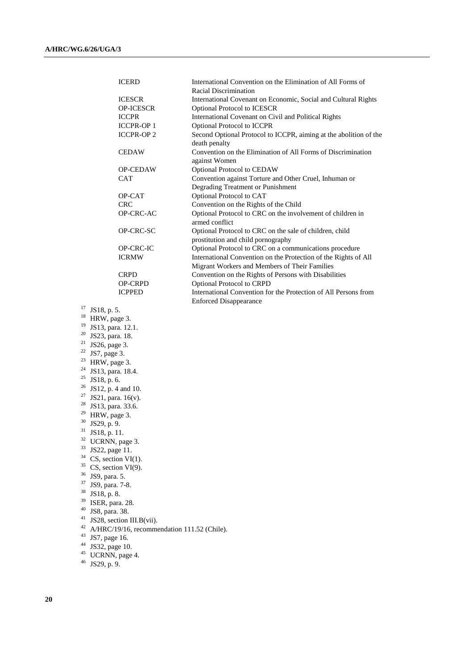|    | <b>ICERD</b>                                | International Convention on the Elimination of All Forms of<br>Racial Discrimination |
|----|---------------------------------------------|--------------------------------------------------------------------------------------|
|    |                                             |                                                                                      |
|    | <b>ICESCR</b>                               | International Covenant on Economic, Social and Cultural Rights                       |
|    | OP-ICESCR                                   | <b>Optional Protocol to ICESCR</b>                                                   |
|    | <b>ICCPR</b>                                | International Covenant on Civil and Political Rights                                 |
|    | <b>ICCPR-OP 1</b>                           | Optional Protocol to ICCPR                                                           |
|    | <b>ICCPR-OP2</b>                            | Second Optional Protocol to ICCPR, aiming at the abolition of the                    |
|    |                                             | death penalty                                                                        |
|    | <b>CEDAW</b>                                | Convention on the Elimination of All Forms of Discrimination                         |
|    |                                             | against Women                                                                        |
|    | <b>OP-CEDAW</b>                             | Optional Protocol to CEDAW                                                           |
|    | CAT                                         | Convention against Torture and Other Cruel, Inhuman or                               |
|    |                                             | Degrading Treatment or Punishment                                                    |
|    | OP-CAT                                      | Optional Protocol to CAT                                                             |
|    | <b>CRC</b>                                  | Convention on the Rights of the Child                                                |
|    | OP-CRC-AC                                   | Optional Protocol to CRC on the involvement of children in                           |
|    |                                             | armed conflict                                                                       |
|    | OP-CRC-SC                                   | Optional Protocol to CRC on the sale of children, child                              |
|    |                                             | prostitution and child pornography                                                   |
|    | OP-CRC-IC                                   | Optional Protocol to CRC on a communications procedure                               |
|    | <b>ICRMW</b>                                |                                                                                      |
|    |                                             | International Convention on the Protection of the Rights of All                      |
|    |                                             | Migrant Workers and Members of Their Families                                        |
|    | <b>CRPD</b>                                 | Convention on the Rights of Persons with Disabilities                                |
|    | OP-CRPD                                     | Optional Protocol to CRPD                                                            |
|    | <b>ICPPED</b>                               | International Convention for the Protection of All Persons from                      |
|    |                                             | <b>Enforced Disappearance</b>                                                        |
| 17 | JS18, p. 5.                                 |                                                                                      |
|    | $18$ HRW, page 3.                           |                                                                                      |
| 19 | JS13, para. 12.1.                           |                                                                                      |
| 20 | JS23, para. 18.                             |                                                                                      |
| 21 | JS26, page 3.                               |                                                                                      |
| 22 | JS7, page 3.                                |                                                                                      |
|    | <sup>23</sup> HRW, page 3.                  |                                                                                      |
| 24 | JS13, para. 18.4.                           |                                                                                      |
| 25 | JS18, p. 6.                                 |                                                                                      |
| 26 | JS12, p. 4 and 10.                          |                                                                                      |
| 27 | JS21, para. 16(v).                          |                                                                                      |
| 28 | JS13, para. 33.6.                           |                                                                                      |
| 29 | HRW, page 3.                                |                                                                                      |
| 30 | JS29, p. 9.                                 |                                                                                      |
| 31 | JS18, p. 11.                                |                                                                                      |
| 32 | UCRNN, page 3.                              |                                                                                      |
| 33 | JS22, page 11.                              |                                                                                      |
| 34 | $CS$ , section $VI(1)$ .                    |                                                                                      |
| 35 | $CS$ , section $VI(9)$ .                    |                                                                                      |
| 36 | JS9, para. 5.                               |                                                                                      |
| 37 |                                             |                                                                                      |
| 38 | JS9, para. 7-8.                             |                                                                                      |
| 39 | JS18, p. 8.                                 |                                                                                      |
| 40 | ISER, para. 28.                             |                                                                                      |
| 41 | JS8, para. 38.                              |                                                                                      |
|    | JS28, section III.B(vii).                   |                                                                                      |
| 42 | A/HRC/19/16, recommendation 111.52 (Chile). |                                                                                      |
| 43 | JS7, page 16.                               |                                                                                      |
| 44 | JS32, page 10.                              |                                                                                      |
| 45 | UCRNN, page 4.                              |                                                                                      |
| 46 | JS29, p. 9.                                 |                                                                                      |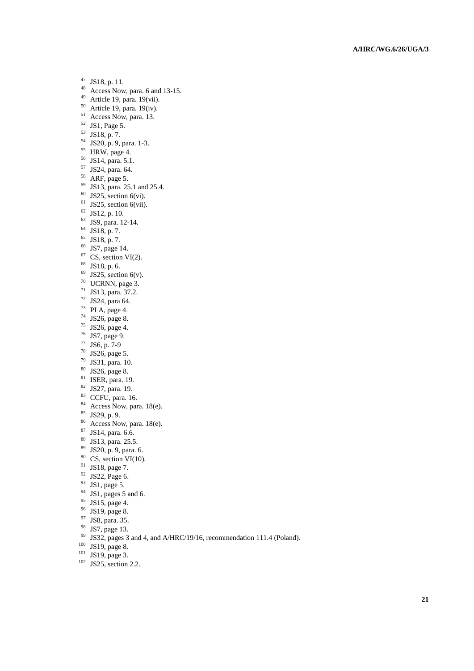- $^{47}$  JS18, p. 11.<br><sup>48</sup> Access Now
- Access Now, para. 6 and 13-15.
- Article 19, para. 19(vii).
- Article 19, para. 19(iv).
- <sup>51</sup> Access Now, para. 13.
- JS1, Page 5.
- JS18, p. 7.
- JS20, p. 9, para. 1-3.
- HRW, page 4.
- JS14, para. 5.1.
- JS24, para. 64.
- ARF, page 5.
- JS13, para. 25.1 and 25.4.
- JS25, section 6(vi).
- JS25, section 6(vii).
- JS12, p. 10.
- JS9, para. 12-14.
- JS18, p. 7.
- JS18, p. 7.
- JS7, page 14.
- CS, section VI(2).
- JS18, p. 6.
- JS25, section 6(v).
- UCRNN, page 3.
- JS13, para. 37.2.
- JS24, para 64.
- PLA, page 4.
- JS26, page 8.
- $^{75}$  JS26, page 4.<br> $^{76}$  JS7 page 9
- JS7, page 9.
- JS6, p. 7-9
- JS26, page 5.
- JS31, para. 10.
- JS26, page 8.
- ISER, para. 19.
- JS27, para. 19.
- CCFU, para. 16.
- <sup>84</sup> Access Now, para. 18(e).
- JS29, p. 9.
- <sup>86</sup> Access Now, para. 18(e).
- JS14, para. 6.6.
- 88 JS13, para. 25.5.
- JS20, p. 9, para. 6.
- CS, section VI(10).
- <sup>91</sup> JS18, page 7.
- JS22, Page 6.
- JS1, page 5.
- JS1, pages 5 and 6.
- JS15, page 4.
- JS19, page 8.
- 
- $^{97}$  JS8, para. 35.<br> $^{98}$  JS7 page 13
- $^{98}$  JS7, page 13.<br><sup>99</sup> JS7, pages 3
- <sup>99</sup> JS32, pages 3 and 4, and A/HRC/19/16, recommendation 111.4 (Poland).<br><sup>100</sup> JS10, page 8
- $JS19$ , page 8.
- JS19, page 3.
- <sup>102</sup> JS25, section 2.2.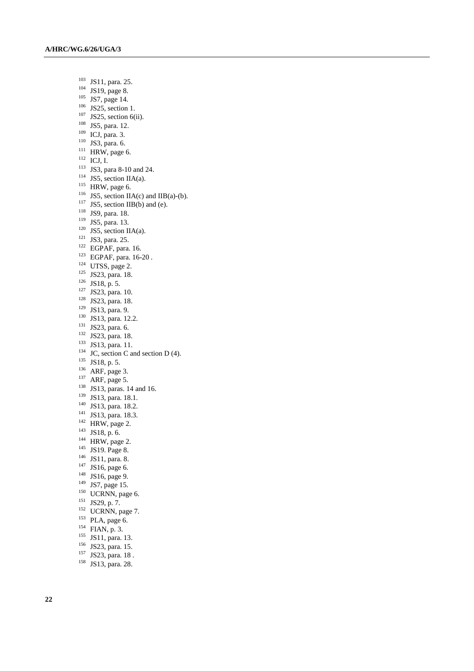JS11, para. 25.

- JS19, page 8.
- JS7, page 14.
- JS25, section 1.
- JS25, section 6(ii).
- <sup>108</sup> JS5, para. 12.
- ICJ, para. 3.
- JS3, para. 6.
- HRW, page 6.
- ICJ, I.
- <sup>113</sup> JS3, para 8-10 and 24.
- JS5, section IIA(a).
- HRW, page 6.
- <sup>116</sup> JS5, section IIA(c) and IIB(a)-(b).
- JS5, section IIB(b) and (e).
- <sup>118</sup> JS9, para. 18.
- <sup>119</sup> JS5, para. 13.
- JS5, section IIA(a).
- <sup>121</sup> JS3, para. 25.
- EGPAF, para. 16.
- EGPAF, para. 16-20 .
- UTSS, page 2.
- <sup>125</sup> JS23, para. 18.
- JS18, p. 5.
- <sup>127</sup> JS23, para. 10.
- JS23, para. 18.
- JS13, para. 9.
- JS13, para. 12.2.
- JS23, para. 6.
- <sup>132</sup> JS23, para. 18.
- JS13, para. 11.
- JC, section C and section D (4).
- $^{135}$  JS18, p. 5.
- ARF, page 3.
- ARF, page 5.
- <sup>138</sup> JS13, paras. 14 and 16.
- JS13, para. 18.1.
- JS13, para. 18.2.
- JS13, para. 18.3.
- 
- HRW, page 2.
- JS18, p. 6.
- HRW, page 2.
- <sup>145</sup> JS19. Page 8.
- <sup>146</sup> JS11, para. 8.
- JS16, page 6.
- <sup>148</sup> JS16, page 9.
- <sup>149</sup> JS7, page 15.
- UCRNN, page 6.
- JS29, p. 7.
- <sup>152</sup> UCRNN, page 7.
- <sup>153</sup> PLA, page 6.
- $^{154}$  FIAN, p. 3.
- JS11, para. 13.
- 
- <sup>156</sup> JS23, para. 15.
- <sup>157</sup> JS23, para. 18.
- JS13, para. 28.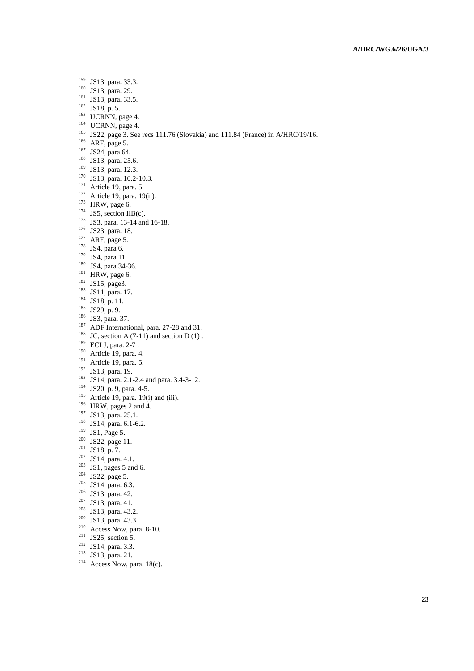- JS13, para. 33.3.
- JS13, para. 29.
- JS13, para. 33.5.
- JS18, p. 5.
- $^{163}$  UCRNN, page 4.
- UCRNN, page 4.
- <sup>165</sup> JS22, page 3. See recs 111.76 (Slovakia) and 111.84 (France) in A/HRC/19/16.
- ARF, page 5.
- JS24, para 64.
- JS13, para. 25.6.
- JS13, para. 12.3.
- <sup>170</sup> JS13, para. 10.2-10.3.
- <sup>171</sup> Article 19, para. 5.
- Article 19, para. 19(ii).
- HRW, page 6.
- JS5, section IIB(c).
- <sup>175</sup> JS3, para. 13-14 and 16-18.
- <sup>176</sup> JS23, para. 18.
- ARF, page 5.
- JS4, para 6.
- JS4, para 11.
- JS4, para 34-36.
- HRW, page 6.
- JS15, page3.
- <sup>183</sup> JS11, para. 17.
- JS18, p. 11.
- JS29, p. 9.
- <sup>186</sup> JS3, para. 37.
- 
- <sup>187</sup> ADF International, para. 27-28 and 31.
- <sup>188</sup> JC, section A  $(7-11)$  and section D  $(1)$ .
- <sup>189</sup> ECLJ, para. 2-7.
- Article 19, para. 4.
- Article 19, para. 5.
- JS13, para. 19.
- JS14, para. 2.1-2.4 and para. 3.4-3-12.
- JS20. p. 9, para. 4-5.
- Article 19, para. 19(i) and (iii).
- <sup>196</sup> HRW, pages 2 and 4.
- JS13, para. 25.1.
- JS14, para. 6.1-6.2.
- <sup>199</sup> JS1, Page 5.
- JS22, page 11.
- JS18, p. 7.
- 
- JS14, para. 4.1.
- <sup>203</sup> JS1, pages 5 and 6.
- <sup>204</sup> JS22, page 5.
- <sup>205</sup> JS14, para. 6.3.
- JS13, para. 42.
- JS13, para. 41.
- <sup>208</sup> JS13, para. 43.2.
- <sup>209</sup> JS13, para. 43.3.
- <sup>210</sup> Access Now, para. 8-10.
- <sup>211</sup> JS25, section 5.
- JS14, para. 3.3.
- JS13, para. 21.
- 
- <sup>214</sup> Access Now, para. 18(c).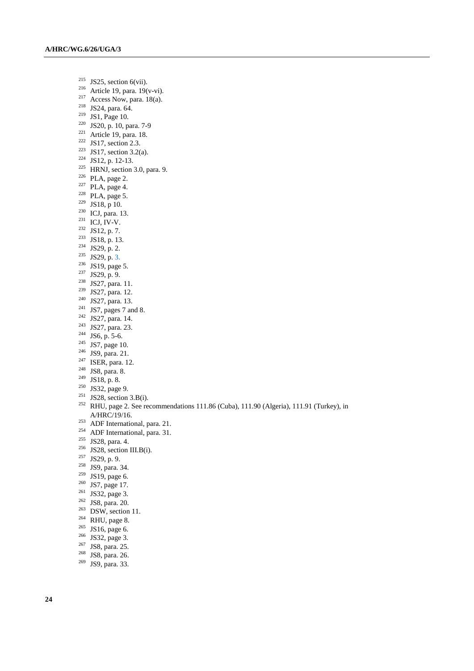- <sup>215</sup> JS25, section 6(vii).
- <sup>216</sup> Article 19, para. 19(v-vi).
- $2^{17}$  Access Now, para. 18(a).
- <sup>218</sup> JS24, para. 64.
- $^{219}$  JS1, Page 10.
- <sup>220</sup> JS20, p. 10, para. 7-9
- <sup>221</sup> Article 19, para. 18.
- <sup>222</sup> JS17, section 2.3.
- <sup>223</sup> JS17, section 3.2(a).
- <sup>224</sup> JS12, p. 12-13.
- <sup>225</sup> HRNJ, section 3.0, para. 9.
- <sup>226</sup> PLA, page 2.
- $227$  PLA, page 4.
- $228$  PLA, page 5.
- <sup>229</sup> JS18, p 10.
- $230$  ICJ, para. 13.
- $^{231}$  ICJ, IV-V.
- $232$  JS12, p. 7.
- <sup>233</sup> JS18, p. 13.
- <sup>234</sup> JS29, p. 2.
- <sup>235</sup> JS29, p. 3.
- <sup>236</sup> JS19, page 5.
- <sup>237</sup> JS29, p. 9.
- 
- <sup>238</sup> JS27, para. 11.
- <sup>239</sup> JS27, para. 12.
- <sup>240</sup> JS27, para. 13.
- $241$  JS7, pages 7 and 8.
- <sup>242</sup> JS27, para. 14.
- <sup>243</sup> JS27, para. 23.
- $^{244}$  JS6, p. 5-6.
- $245$  JS7, page 10.
- <sup>246</sup> JS9, para. 21.
- <sup>247</sup> ISER, para. 12.
- <sup>248</sup> JS8, para. 8.
- $249$  JS18, p. 8.
- <sup>250</sup> JS32, page 9.
- <sup>251</sup> JS28, section 3.B(i).
- <sup>252</sup> RHU, page 2. See recommendations 111.86 (Cuba), 111.90 (Algeria), 111.91 (Turkey), in A/HRC/19/16.
- $253$  ADF International, para. 21.
- <sup>254</sup> ADF International, para. 31.
- <sup>255</sup> JS28, para. 4.
- <sup>256</sup> JS28, section III.B(i).
- <sup>257</sup> JS29, p. 9.
- <sup>258</sup> JS9, para. 34.
- <sup>259</sup> JS19, page 6.
- <sup>260</sup> JS7, page 17.
- <sup>261</sup> JS32, page 3.
- <sup>262</sup> JS8, para. 20.
- $263$  DSW, section 11.
- 
- $264$  RHU, page 8.
- $265$  JS16, page 6.
- <sup>266</sup> JS32, page 3.
- $267$  JS8, para. 25.
- $268$  JS8, para. 26.
- <sup>269</sup> JS9, para. 33.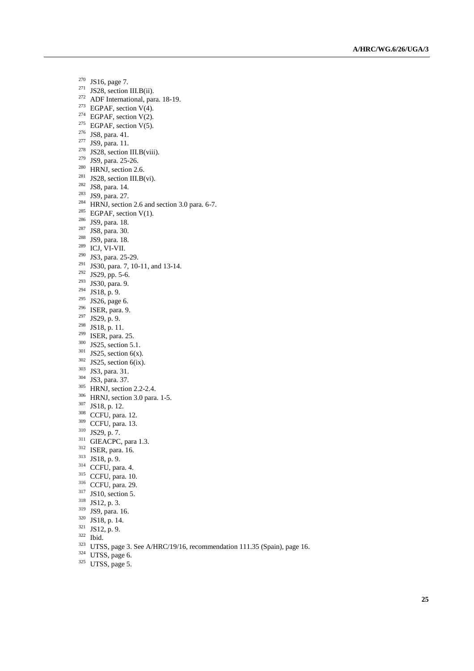- JS16, page 7.
- JS28, section III.B(ii).
- <sup>272</sup> ADF International, para. 18-19.
- <sup>273</sup> EGPAF, section V(4).
- <sup>274</sup> EGPAF, section V(2).
- $^{275}$  EGPAF, section V(5).
- JS8, para. 41.
- <sup>277</sup> JS9, para. 11.
- JS28, section III.B(viii).
- JS9, para. 25-26.
- HRNJ, section 2.6.
- <sup>281</sup> JS28, section III.B(vi).
- <sup>282</sup> JS8, para. 14.
- <sup>283</sup> JS9, para. 27.
- <sup>284</sup> HRNJ, section 2.6 and section 3.0 para. 6-7.
- <sup>285</sup> EGPAF, section V(1).
- JS9, para. 18.
- JS8, para. 30.
- <sup>288</sup> JS9, para. 18.
- ICJ, VI-VII.
- <sup>290</sup> JS3, para. 25-29.
- <sup>291</sup> JS30, para. 7, 10-11, and 13-14.
- JS29, pp. 5-6.
- JS30, para. 9.
- JS18, p. 9.
- JS26, page 6.
- ISER, para. 9.
- JS29, p. 9.
- JS18, p. 11.
- ISER, para. 25.
- <sup>300</sup> JS25, section 5.1.
- JS25, section 6(x).
- JS25, section 6(ix).
- <sup>303</sup> JS3, para. 31.
- JS3, para. 37.
- <sup>305</sup> HRNJ, section 2.2-2.4.
- HRNJ, section 3.0 para. 1-5.
- JS18, p. 12.
- CCFU, para. 12.
- CCFU, para. 13.
- JS29, p. 7.
- GIEACPC, para 1.3.
- ISER, para. 16.
- JS18, p. 9.
- CCFU, para. 4.
- <sup>315</sup> CCFU, para. 10.
- CCFU, para. 29.
- 
- <sup>317</sup> JS10, section 5.
- JS12, p. 3.
- JS9, para. 16.
- JS18, p. 14.
- JS12, p. 9.
- Ibid.
- UTSS, page 3. See A/HRC/19/16, recommendation 111.35 (Spain), page 16.
- UTSS, page 6.
- UTSS, page 5.